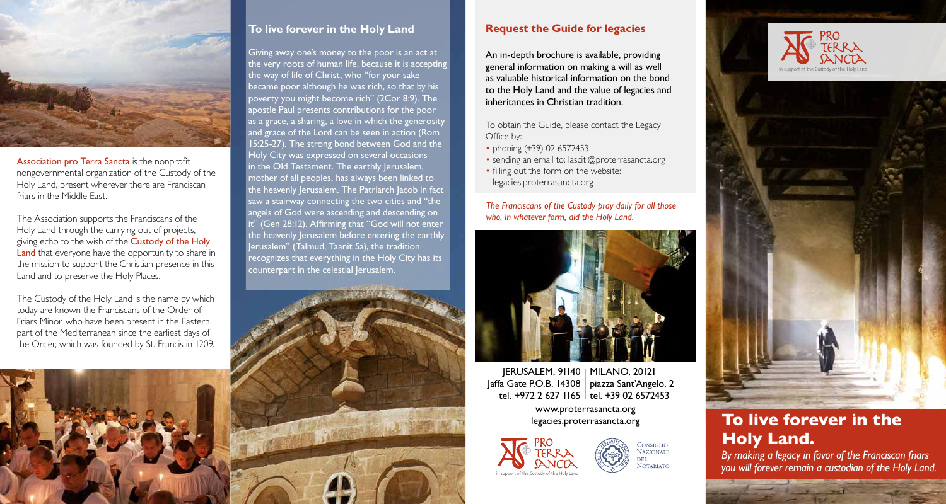

Association pro Terra Sancta is the nonprofit nongovernmental organization of the Custody of the Holy Land, present wherever there are Franciscan friars in the Middle East.

The Association supports the Franciscans of the Holy Land through the carrying out of projects, giving echo to the wish of the Custody of the Holy Land that everyone have the opportunity to share in the mission to support the Christian presence in this Land and to preserve the Holy Places.

The Custody of the Holy Land is the name by which today are known the Franciscans of the Order of Friars Minor, who have been present in the Eastern part of the Mediterranean since the earliest days of the Order, which was founded by St. Francis in 1209.

# **To live forever in the Holy Land**

Giving away one's money to the poor is an act at the very roots of human life, because it is accepting the way of life of Christ, who "for your sake became poor although he was rich, so that by his poverty you might become rich" (2Cor 8:9). The apostle Paul presents contributions for the poor as a grace, a sharing, a love in which the generosity and grace of the Lord can be seen in action (Rom 15:25-27). The strong bond between God and the Holy City was expressed on several occasions in the Old Testament. The earthly Jerusalem, mother of all peoples, has always been linked to the heavenly Jerusalem. The Patriarch Jacob in fact saw a stairway connecting the two cities and "the angels of God were ascending and descending on it" (Gen 28:12). Affirming that "God will not enter the heavenly Jerusalem before entering the earthly Jerusalem" (Talmud, Taanit 5a), the tradition recognizes that everything in the Holy City has its counterpart in the celestial Jerusalem.



## **Request the Guide for legacies**

An in-depth brochure is available, providing general information on making a will as well as valuable historical information on the bond to the Holy Land and the value of legacies and inheritances in Christian tradition.

To obtain the Guide, please contact the Legacy Office by:

- phoning (+39) 02 6572453
- sending an email to: lasciti@proterrasancta.org
- filling out the form on the website: legacies.proterrasancta.org

*The Franciscans of the Custody pray daily for all those who, in whatever form, aid the Holy Land.*



JERUSALEM, 91140 | MILANO, 20121 Jaffa Gate P.O.B. 14308 | piazza Sant'Angelo, 2 tel. +39 02 6572453 tel. +972 2 627 1165 www.proterrasancta.org legacies.proterrasancta.org



CONSIGLIO **NAZIONALE NOTARIATO** 





# **To live forever in the Holy Land.**

*By making a legacy in favor of the Franciscan friars you will forever remain a custodian of the Holy Land.*